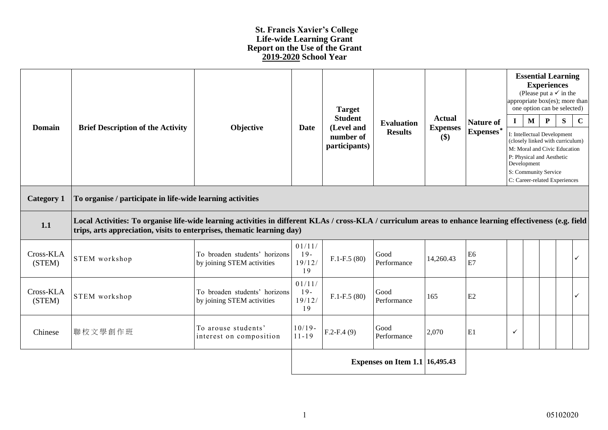## **St. Francis Xavier's College Life-wide Learning Grant Report on the Use of the Grant 2019-2020 School Year**

| <b>Domain</b>       | <b>Brief Description of the Activity</b>                                                                                                                                                                                              | Objective                                                   | <b>Date</b>                     | <b>Target</b><br><b>Student</b><br>(Level and<br>number of<br>participants) | <b>Evaluation</b><br><b>Results</b> | <b>Actual</b><br><b>Expenses</b><br>$(\$)$ | <b>Nature of</b><br>Expenses* | appropriate box(es); more than<br>one option can be selected)<br>$\mathbf{I}$<br>I: Intellectual Development<br>(closely linked with curriculum)<br>M: Moral and Civic Education<br>P: Physical and Aesthetic<br>Development<br>S: Community Service<br>C: Career-related Experiences | <b>Essential Learning</b><br><b>Experiences</b><br>(Please put a $\checkmark$ in the<br>$\mathbf{M}$ | $\mathbf P$ | S | $\mathbf C$  |
|---------------------|---------------------------------------------------------------------------------------------------------------------------------------------------------------------------------------------------------------------------------------|-------------------------------------------------------------|---------------------------------|-----------------------------------------------------------------------------|-------------------------------------|--------------------------------------------|-------------------------------|---------------------------------------------------------------------------------------------------------------------------------------------------------------------------------------------------------------------------------------------------------------------------------------|------------------------------------------------------------------------------------------------------|-------------|---|--------------|
| <b>Category 1</b>   | To organise / participate in life-wide learning activities                                                                                                                                                                            |                                                             |                                 |                                                                             |                                     |                                            |                               |                                                                                                                                                                                                                                                                                       |                                                                                                      |             |   |              |
| 1.1                 | Local Activities: To organise life-wide learning activities in different KLAs / cross-KLA / curriculum areas to enhance learning effectiveness (e.g. field<br>trips, arts appreciation, visits to enterprises, thematic learning day) |                                                             |                                 |                                                                             |                                     |                                            |                               |                                                                                                                                                                                                                                                                                       |                                                                                                      |             |   |              |
| Cross-KLA<br>(STEM) | STEM workshop                                                                                                                                                                                                                         | To broaden students' horizons<br>by joining STEM activities | 01/11/<br>$19-$<br>19/12/<br>19 | $F.1-F.5(80)$                                                               | Good<br>Performance                 | 14,260.43                                  | E <sub>6</sub><br>E7          |                                                                                                                                                                                                                                                                                       |                                                                                                      |             |   | ✓            |
| Cross-KLA<br>(STEM) | <b>STEM</b> workshop                                                                                                                                                                                                                  | To broaden students' horizons<br>by joining STEM activities | 01/11/<br>$19-$<br>19/12/<br>19 | $F.1-F.5(80)$                                                               | Good<br>Performance                 | 165                                        | E2                            |                                                                                                                                                                                                                                                                                       |                                                                                                      |             |   | $\checkmark$ |
| Chinese             | 聯校文學創作班                                                                                                                                                                                                                               | To arouse students'<br>interest on composition              | $10/19 -$<br>$11 - 19$          | $F.2-F.4(9)$                                                                | Good<br>Performance                 | 2,070                                      | E1                            | ✓                                                                                                                                                                                                                                                                                     |                                                                                                      |             |   |              |
|                     | Expenses on Item 1.1   $16,495.43$                                                                                                                                                                                                    |                                                             |                                 |                                                                             |                                     |                                            |                               |                                                                                                                                                                                                                                                                                       |                                                                                                      |             |   |              |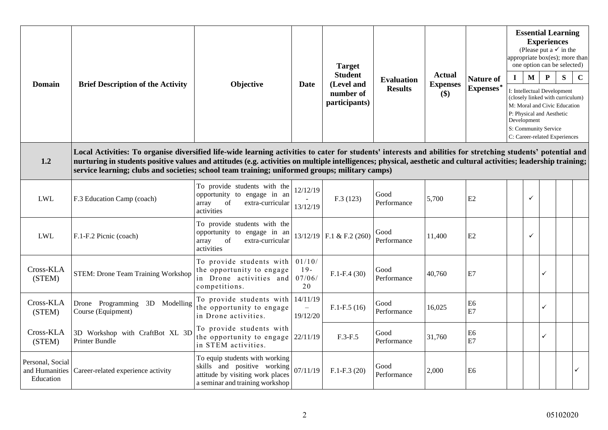| Domain                                          | <b>Brief Description of the Activity</b>                                                                                                                                                                                                                                                                                                                                                                                             | Objective                                                                                                                            | <b>Date</b>                      | <b>Target</b><br><b>Student</b><br>(Level and<br>number of<br>participants) | <b>Evaluation</b><br><b>Results</b> | <b>Actual</b><br><b>Expenses</b><br>\$) | <b>Nature of</b><br>Expenses* | $\mathbf{I}$ | $\mathbf{M}$<br>Development | <b>Essential Learning</b><br><b>Experiences</b><br>(Please put a $\checkmark$ in the<br>appropriate box(es); more than<br>one option can be selected)<br>P<br>I: Intellectual Development<br>(closely linked with curriculum)<br>M: Moral and Civic Education<br>P: Physical and Aesthetic<br>S: Community Service<br>C: Career-related Experiences | S | $\mathbf C$ |
|-------------------------------------------------|--------------------------------------------------------------------------------------------------------------------------------------------------------------------------------------------------------------------------------------------------------------------------------------------------------------------------------------------------------------------------------------------------------------------------------------|--------------------------------------------------------------------------------------------------------------------------------------|----------------------------------|-----------------------------------------------------------------------------|-------------------------------------|-----------------------------------------|-------------------------------|--------------|-----------------------------|-----------------------------------------------------------------------------------------------------------------------------------------------------------------------------------------------------------------------------------------------------------------------------------------------------------------------------------------------------|---|-------------|
| 1.2                                             | Local Activities: To organise diversified life-wide learning activities to cater for students' interests and abilities for stretching students' potential and<br>nurturing in students positive values and attitudes (e.g. activities on multiple intelligences; physical, aesthetic and cultural activities; leadership training;<br>service learning; clubs and societies; school team training; uniformed groups; military camps) |                                                                                                                                      |                                  |                                                                             |                                     |                                         |                               |              |                             |                                                                                                                                                                                                                                                                                                                                                     |   |             |
| <b>LWL</b>                                      | F.3 Education Camp (coach)                                                                                                                                                                                                                                                                                                                                                                                                           | To provide students with the<br>opportunity to engage in an<br>of<br>array<br>extra-curricular<br>activities                         | 12/12/19<br>13/12/19             | F.3(123)                                                                    | Good<br>Performance                 | 5,700                                   | E2                            |              | ✓                           |                                                                                                                                                                                                                                                                                                                                                     |   |             |
| <b>LWL</b>                                      | F.1-F.2 Picnic (coach)                                                                                                                                                                                                                                                                                                                                                                                                               | To provide students with the<br>opportunity to engage in an<br>of<br>extra-curricular<br>array<br>activities                         |                                  | $13/12/19$ F.1 & F.2 (260)                                                  | Good<br>Performance                 | 11,400                                  | E2                            |              | ✓                           |                                                                                                                                                                                                                                                                                                                                                     |   |             |
| Cross-KLA<br>(STEM)                             | <b>STEM: Drone Team Training Workshop</b>                                                                                                                                                                                                                                                                                                                                                                                            | To provide students with<br>the opportunity to engage<br>in Drone activities and<br>competitions.                                    | 01/10/<br>$19-$<br>07/06/<br>20  | $F.1-F.4(30)$                                                               | Good<br>Performance                 | 40,760                                  | E7                            |              |                             | ✓                                                                                                                                                                                                                                                                                                                                                   |   |             |
| Cross-KLA<br>(STEM)                             | Drone Programming<br>3D Modelling<br>Course (Equipment)                                                                                                                                                                                                                                                                                                                                                                              | To provide students with<br>the opportunity to engage<br>in Drone activities.                                                        | 14/11/19<br>$\equiv$<br>19/12/20 | $F.1-F.5(16)$                                                               | Good<br>Performance                 | 16,025                                  | E <sub>6</sub><br>E7          |              |                             | ✓                                                                                                                                                                                                                                                                                                                                                   |   |             |
| Cross-KLA<br>(STEM)                             | 3D Workshop with CraftBot XL 3D<br>Printer Bundle                                                                                                                                                                                                                                                                                                                                                                                    | To provide students with<br>the opportunity to engage<br>in STEM activities.                                                         | 22/11/19                         | $F.3-F.5$                                                                   | Good<br>Performance                 | 31,760                                  | E <sub>6</sub><br>E7          |              |                             | ✓                                                                                                                                                                                                                                                                                                                                                   |   |             |
| Personal, Social<br>and Humanities<br>Education | Career-related experience activity                                                                                                                                                                                                                                                                                                                                                                                                   | To equip students with working<br>skills and positive working<br>attitude by visiting work places<br>a seminar and training workshop | 07/11/19                         | $F.1-F.3(20)$                                                               | Good<br>Performance                 | 2,000                                   | E <sub>6</sub>                |              |                             |                                                                                                                                                                                                                                                                                                                                                     |   | ✓           |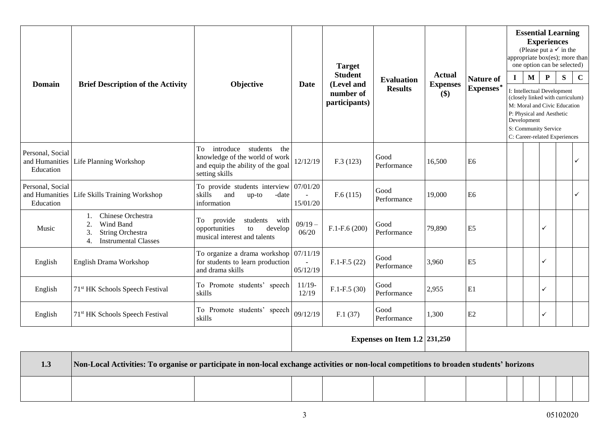| <b>Domain</b>                                   | <b>Brief Description of the Activity</b>                                                                                | Objective                                                                                                                | <b>Date</b>                | <b>Target</b><br><b>Student</b><br>(Level and<br>number of<br>participants) | <b>Evaluation</b><br><b>Results</b> | <b>Actual</b><br><b>Expenses</b><br>\$) | <b>Nature of</b><br>Expenses* | $\mathbf{I}$<br>Development<br>S: Community Service | <b>Experiences</b><br>$\mathbf{M}$<br>I: Intellectual Development<br>P: Physical and Aesthetic | $\mathbf P$ | <b>Essential Learning</b><br>(Please put a $\checkmark$ in the<br>appropriate box(es); more than<br>one option can be selected)<br>${\bf S}$<br>(closely linked with curriculum)<br>M: Moral and Civic Education<br>C: Career-related Experiences | $\mathbf C$ |
|-------------------------------------------------|-------------------------------------------------------------------------------------------------------------------------|--------------------------------------------------------------------------------------------------------------------------|----------------------------|-----------------------------------------------------------------------------|-------------------------------------|-----------------------------------------|-------------------------------|-----------------------------------------------------|------------------------------------------------------------------------------------------------|-------------|---------------------------------------------------------------------------------------------------------------------------------------------------------------------------------------------------------------------------------------------------|-------------|
| Personal, Social<br>and Humanities<br>Education | Life Planning Workshop                                                                                                  | introduce students<br>To<br>the<br>knowledge of the world of work<br>and equip the ability of the goal<br>setting skills | 12/12/19                   | F.3(123)                                                                    | Good<br>Performance                 | 16,500                                  | E <sub>6</sub>                |                                                     |                                                                                                |             |                                                                                                                                                                                                                                                   | ✓           |
| Personal, Social<br>and Humanities<br>Education | Life Skills Training Workshop                                                                                           | To provide students interview $07/01/20$<br>skills<br>and<br>-date<br>$up-to$<br>information                             | $\overline{a}$<br>15/01/20 | F.6(115)                                                                    | Good<br>Performance                 | 19,000                                  | E <sub>6</sub>                |                                                     |                                                                                                |             |                                                                                                                                                                                                                                                   | ✓           |
| Music                                           | Chinese Orchestra<br>1.<br>Wind Band<br>2.<br>String Orchestra<br>3.<br><b>Instrumental Classes</b><br>$\overline{4}$ . | provide<br>students with<br>To<br>opportunities<br>to<br>develop<br>musical interest and talents                         | $09/19 -$<br>06/20         | $F.1-F.6(200)$                                                              | Good<br>Performance                 | 79,890                                  | E <sub>5</sub>                |                                                     |                                                                                                | ✓           |                                                                                                                                                                                                                                                   |             |
| English                                         | English Drama Workshop                                                                                                  | To organize a drama workshop $\sqrt{07/11/19}$<br>for students to learn production<br>and drama skills                   | 05/12/19                   | $F.1-F.5(22)$                                                               | Good<br>Performance                 | 3,960                                   | E <sub>5</sub>                |                                                     |                                                                                                | ✓           |                                                                                                                                                                                                                                                   |             |
| English                                         | 71 <sup>st</sup> HK Schools Speech Festival                                                                             | To Promote students' speech<br>skills                                                                                    | $11/19-$<br>12/19          | $F.1-F.5(30)$                                                               | Good<br>Performance                 | 2,955                                   | E1                            |                                                     |                                                                                                | ✓           |                                                                                                                                                                                                                                                   |             |
| English                                         | 71 <sup>st</sup> HK Schools Speech Festival                                                                             | To Promote students' speech<br>skills                                                                                    | 09/12/19                   | F.1(37)                                                                     | Good<br>Performance                 | 1,300                                   | E2                            |                                                     |                                                                                                | ✓           |                                                                                                                                                                                                                                                   |             |
|                                                 |                                                                                                                         |                                                                                                                          |                            | Expenses on Item $1.2$   $231,250$                                          |                                     |                                         |                               |                                                     |                                                                                                |             |                                                                                                                                                                                                                                                   |             |

| 1.3 | Non-Local Activities: To organise or participate in non-local exchange activities or non-local competitions to broaden students' horizons |  |  |  |  |  |  |
|-----|-------------------------------------------------------------------------------------------------------------------------------------------|--|--|--|--|--|--|
|     |                                                                                                                                           |  |  |  |  |  |  |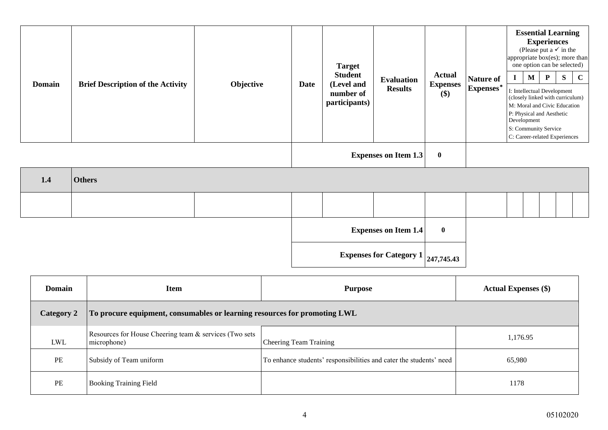| <b>Domain</b> | <b>Brief Description of the Activity</b> | Objective | Date | <b>Target</b><br><b>Student</b><br>(Level and<br>number of<br>participants) | <b>Evaluation</b><br><b>Results</b> | <b>Actual</b><br><b>Expenses</b><br>\$) | <b>Nature of</b><br>Expenses* | $\mathbf{M}$<br>Development | <b>Essential Learning</b><br><b>Experiences</b><br>(Please put a $\checkmark$ in the<br>appropriate box(es); more than<br>one option can be selected)<br>$\mathbf{P}$<br>I: Intellectual Development<br>(closely linked with curriculum)<br>M: Moral and Civic Education<br>P: Physical and Aesthetic<br>S: Community Service<br>C: Career-related Experiences | S | $\mathbf C$ |
|---------------|------------------------------------------|-----------|------|-----------------------------------------------------------------------------|-------------------------------------|-----------------------------------------|-------------------------------|-----------------------------|----------------------------------------------------------------------------------------------------------------------------------------------------------------------------------------------------------------------------------------------------------------------------------------------------------------------------------------------------------------|---|-------------|
|               |                                          |           |      |                                                                             | <b>Expenses on Item 1.3</b>         | $\boldsymbol{0}$                        |                               |                             |                                                                                                                                                                                                                                                                                                                                                                |   |             |
| 1.4           | <b>Others</b>                            |           |      |                                                                             |                                     |                                         |                               |                             |                                                                                                                                                                                                                                                                                                                                                                |   |             |
|               |                                          |           |      |                                                                             |                                     |                                         |                               |                             |                                                                                                                                                                                                                                                                                                                                                                |   |             |
|               |                                          |           |      |                                                                             | <b>Expenses on Item 1.4</b>         | $\bf{0}$                                |                               |                             |                                                                                                                                                                                                                                                                                                                                                                |   |             |
|               |                                          |           |      | <b>Expenses for Category 1</b>                                              | 247,745.43                          |                                         |                               |                             |                                                                                                                                                                                                                                                                                                                                                                |   |             |

| <b>Domain</b> | Item                                                                      | Purpose                                                            | <b>Actual Expenses</b> (\$) |  |  |
|---------------|---------------------------------------------------------------------------|--------------------------------------------------------------------|-----------------------------|--|--|
| Category 2    | To procure equipment, consumables or learning resources for promoting LWL |                                                                    |                             |  |  |
| LWL           | Resources for House Cheering team & services (Two sets<br>microphone)     | <b>Cheering Team Training</b>                                      | 1,176.95                    |  |  |
| PE            | Subsidy of Team uniform                                                   | To enhance students' responsibilities and cater the students' need | 65,980                      |  |  |
| PE            | <b>Booking Training Field</b>                                             |                                                                    | 1178                        |  |  |